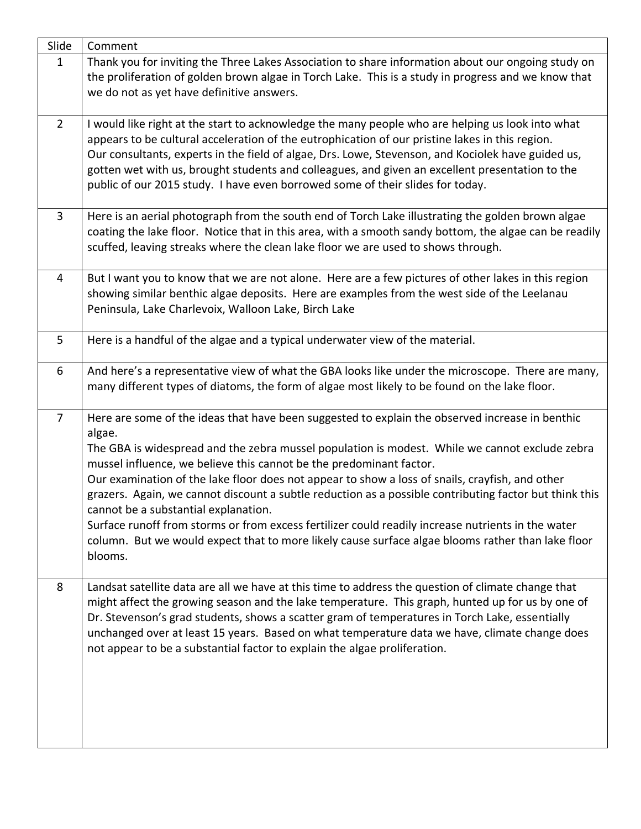| Slide          | Comment                                                                                                                                                                                             |
|----------------|-----------------------------------------------------------------------------------------------------------------------------------------------------------------------------------------------------|
| $\mathbf{1}$   | Thank you for inviting the Three Lakes Association to share information about our ongoing study on                                                                                                  |
|                | the proliferation of golden brown algae in Torch Lake. This is a study in progress and we know that                                                                                                 |
|                | we do not as yet have definitive answers.                                                                                                                                                           |
| $\overline{2}$ |                                                                                                                                                                                                     |
|                | I would like right at the start to acknowledge the many people who are helping us look into what<br>appears to be cultural acceleration of the eutrophication of our pristine lakes in this region. |
|                | Our consultants, experts in the field of algae, Drs. Lowe, Stevenson, and Kociolek have guided us,                                                                                                  |
|                | gotten wet with us, brought students and colleagues, and given an excellent presentation to the                                                                                                     |
|                | public of our 2015 study. I have even borrowed some of their slides for today.                                                                                                                      |
|                |                                                                                                                                                                                                     |
| 3              | Here is an aerial photograph from the south end of Torch Lake illustrating the golden brown algae                                                                                                   |
|                | coating the lake floor. Notice that in this area, with a smooth sandy bottom, the algae can be readily                                                                                              |
|                | scuffed, leaving streaks where the clean lake floor we are used to shows through.                                                                                                                   |
|                |                                                                                                                                                                                                     |
| 4              | But I want you to know that we are not alone. Here are a few pictures of other lakes in this region<br>showing similar benthic algae deposits. Here are examples from the west side of the Leelanau |
|                | Peninsula, Lake Charlevoix, Walloon Lake, Birch Lake                                                                                                                                                |
|                |                                                                                                                                                                                                     |
| 5              | Here is a handful of the algae and a typical underwater view of the material.                                                                                                                       |
|                |                                                                                                                                                                                                     |
| 6              | And here's a representative view of what the GBA looks like under the microscope. There are many,                                                                                                   |
|                | many different types of diatoms, the form of algae most likely to be found on the lake floor.                                                                                                       |
|                |                                                                                                                                                                                                     |
| $\overline{7}$ | Here are some of the ideas that have been suggested to explain the observed increase in benthic<br>algae.                                                                                           |
|                | The GBA is widespread and the zebra mussel population is modest. While we cannot exclude zebra                                                                                                      |
|                | mussel influence, we believe this cannot be the predominant factor.                                                                                                                                 |
|                | Our examination of the lake floor does not appear to show a loss of snails, crayfish, and other                                                                                                     |
|                | grazers. Again, we cannot discount a subtle reduction as a possible contributing factor but think this                                                                                              |
|                | cannot be a substantial explanation.                                                                                                                                                                |
|                | Surface runoff from storms or from excess fertilizer could readily increase nutrients in the water                                                                                                  |
|                | column. But we would expect that to more likely cause surface algae blooms rather than lake floor                                                                                                   |
|                | blooms.                                                                                                                                                                                             |
| 8              | Landsat satellite data are all we have at this time to address the question of climate change that                                                                                                  |
|                | might affect the growing season and the lake temperature. This graph, hunted up for us by one of                                                                                                    |
|                | Dr. Stevenson's grad students, shows a scatter gram of temperatures in Torch Lake, essentially                                                                                                      |
|                | unchanged over at least 15 years. Based on what temperature data we have, climate change does                                                                                                       |
|                | not appear to be a substantial factor to explain the algae proliferation.                                                                                                                           |
|                |                                                                                                                                                                                                     |
|                |                                                                                                                                                                                                     |
|                |                                                                                                                                                                                                     |
|                |                                                                                                                                                                                                     |
|                |                                                                                                                                                                                                     |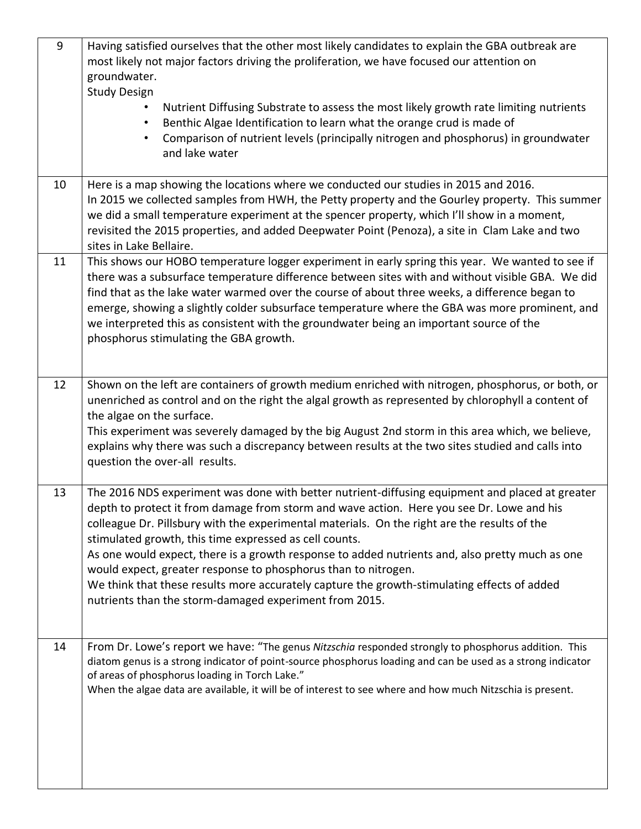| 9  | Having satisfied ourselves that the other most likely candidates to explain the GBA outbreak are<br>most likely not major factors driving the proliferation, we have focused our attention on<br>groundwater.<br><b>Study Design</b>                                                                                                                                                                                                                                                                                                                                                                                                                                                 |
|----|--------------------------------------------------------------------------------------------------------------------------------------------------------------------------------------------------------------------------------------------------------------------------------------------------------------------------------------------------------------------------------------------------------------------------------------------------------------------------------------------------------------------------------------------------------------------------------------------------------------------------------------------------------------------------------------|
|    | Nutrient Diffusing Substrate to assess the most likely growth rate limiting nutrients<br>Benthic Algae Identification to learn what the orange crud is made of<br>$\bullet$<br>Comparison of nutrient levels (principally nitrogen and phosphorus) in groundwater<br>$\bullet$<br>and lake water                                                                                                                                                                                                                                                                                                                                                                                     |
| 10 | Here is a map showing the locations where we conducted our studies in 2015 and 2016.<br>In 2015 we collected samples from HWH, the Petty property and the Gourley property. This summer<br>we did a small temperature experiment at the spencer property, which I'll show in a moment,<br>revisited the 2015 properties, and added Deepwater Point (Penoza), a site in Clam Lake and two<br>sites in Lake Bellaire.                                                                                                                                                                                                                                                                  |
| 11 | This shows our HOBO temperature logger experiment in early spring this year. We wanted to see if<br>there was a subsurface temperature difference between sites with and without visible GBA. We did<br>find that as the lake water warmed over the course of about three weeks, a difference began to<br>emerge, showing a slightly colder subsurface temperature where the GBA was more prominent, and<br>we interpreted this as consistent with the groundwater being an important source of the<br>phosphorus stimulating the GBA growth.                                                                                                                                        |
| 12 | Shown on the left are containers of growth medium enriched with nitrogen, phosphorus, or both, or<br>unenriched as control and on the right the algal growth as represented by chlorophyll a content of<br>the algae on the surface.<br>This experiment was severely damaged by the big August 2nd storm in this area which, we believe,<br>explains why there was such a discrepancy between results at the two sites studied and calls into<br>question the over-all results.                                                                                                                                                                                                      |
| 13 | The 2016 NDS experiment was done with better nutrient-diffusing equipment and placed at greater<br>depth to protect it from damage from storm and wave action. Here you see Dr. Lowe and his<br>colleague Dr. Pillsbury with the experimental materials. On the right are the results of the<br>stimulated growth, this time expressed as cell counts.<br>As one would expect, there is a growth response to added nutrients and, also pretty much as one<br>would expect, greater response to phosphorus than to nitrogen.<br>We think that these results more accurately capture the growth-stimulating effects of added<br>nutrients than the storm-damaged experiment from 2015. |
| 14 | From Dr. Lowe's report we have: "The genus Nitzschia responded strongly to phosphorus addition. This<br>diatom genus is a strong indicator of point-source phosphorus loading and can be used as a strong indicator<br>of areas of phosphorus loading in Torch Lake."<br>When the algae data are available, it will be of interest to see where and how much Nitzschia is present.                                                                                                                                                                                                                                                                                                   |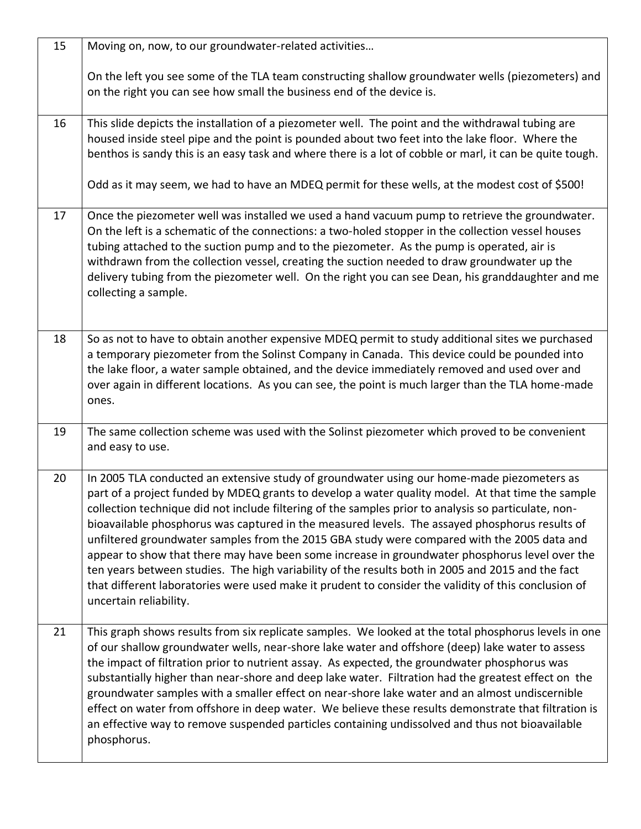| 15 | Moving on, now, to our groundwater-related activities                                                                                                                                                                                                                                                                                                                                                                                                                                                                                                                                                                                                                                                                                                                                                                                             |
|----|---------------------------------------------------------------------------------------------------------------------------------------------------------------------------------------------------------------------------------------------------------------------------------------------------------------------------------------------------------------------------------------------------------------------------------------------------------------------------------------------------------------------------------------------------------------------------------------------------------------------------------------------------------------------------------------------------------------------------------------------------------------------------------------------------------------------------------------------------|
|    | On the left you see some of the TLA team constructing shallow groundwater wells (piezometers) and<br>on the right you can see how small the business end of the device is.                                                                                                                                                                                                                                                                                                                                                                                                                                                                                                                                                                                                                                                                        |
| 16 | This slide depicts the installation of a piezometer well. The point and the withdrawal tubing are<br>housed inside steel pipe and the point is pounded about two feet into the lake floor. Where the<br>benthos is sandy this is an easy task and where there is a lot of cobble or marl, it can be quite tough.<br>Odd as it may seem, we had to have an MDEQ permit for these wells, at the modest cost of \$500!                                                                                                                                                                                                                                                                                                                                                                                                                               |
| 17 | Once the piezometer well was installed we used a hand vacuum pump to retrieve the groundwater.<br>On the left is a schematic of the connections: a two-holed stopper in the collection vessel houses<br>tubing attached to the suction pump and to the piezometer. As the pump is operated, air is<br>withdrawn from the collection vessel, creating the suction needed to draw groundwater up the<br>delivery tubing from the piezometer well. On the right you can see Dean, his granddaughter and me<br>collecting a sample.                                                                                                                                                                                                                                                                                                                   |
| 18 | So as not to have to obtain another expensive MDEQ permit to study additional sites we purchased<br>a temporary piezometer from the Solinst Company in Canada. This device could be pounded into<br>the lake floor, a water sample obtained, and the device immediately removed and used over and<br>over again in different locations. As you can see, the point is much larger than the TLA home-made<br>ones.                                                                                                                                                                                                                                                                                                                                                                                                                                  |
| 19 | The same collection scheme was used with the Solinst piezometer which proved to be convenient<br>and easy to use.                                                                                                                                                                                                                                                                                                                                                                                                                                                                                                                                                                                                                                                                                                                                 |
| 20 | In 2005 TLA conducted an extensive study of groundwater using our home-made piezometers as<br>part of a project funded by MDEQ grants to develop a water quality model. At that time the sample<br>collection technique did not include filtering of the samples prior to analysis so particulate, non-<br>bioavailable phosphorus was captured in the measured levels. The assayed phosphorus results of<br>unfiltered groundwater samples from the 2015 GBA study were compared with the 2005 data and<br>appear to show that there may have been some increase in groundwater phosphorus level over the<br>ten years between studies. The high variability of the results both in 2005 and 2015 and the fact<br>that different laboratories were used make it prudent to consider the validity of this conclusion of<br>uncertain reliability. |
| 21 | This graph shows results from six replicate samples. We looked at the total phosphorus levels in one<br>of our shallow groundwater wells, near-shore lake water and offshore (deep) lake water to assess<br>the impact of filtration prior to nutrient assay. As expected, the groundwater phosphorus was<br>substantially higher than near-shore and deep lake water. Filtration had the greatest effect on the<br>groundwater samples with a smaller effect on near-shore lake water and an almost undiscernible<br>effect on water from offshore in deep water. We believe these results demonstrate that filtration is<br>an effective way to remove suspended particles containing undissolved and thus not bioavailable<br>phosphorus.                                                                                                      |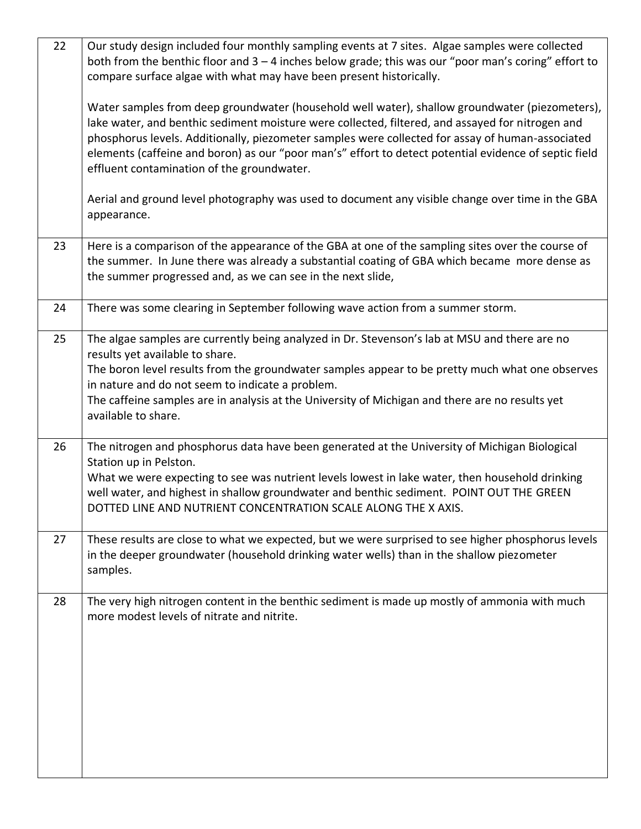| 22 | Our study design included four monthly sampling events at 7 sites. Algae samples were collected<br>both from the benthic floor and $3 - 4$ inches below grade; this was our "poor man's coring" effort to<br>compare surface algae with what may have been present historically.                                                                                                                                                                              |
|----|---------------------------------------------------------------------------------------------------------------------------------------------------------------------------------------------------------------------------------------------------------------------------------------------------------------------------------------------------------------------------------------------------------------------------------------------------------------|
|    | Water samples from deep groundwater (household well water), shallow groundwater (piezometers),<br>lake water, and benthic sediment moisture were collected, filtered, and assayed for nitrogen and<br>phosphorus levels. Additionally, piezometer samples were collected for assay of human-associated<br>elements (caffeine and boron) as our "poor man's" effort to detect potential evidence of septic field<br>effluent contamination of the groundwater. |
|    | Aerial and ground level photography was used to document any visible change over time in the GBA<br>appearance.                                                                                                                                                                                                                                                                                                                                               |
| 23 | Here is a comparison of the appearance of the GBA at one of the sampling sites over the course of<br>the summer. In June there was already a substantial coating of GBA which became more dense as<br>the summer progressed and, as we can see in the next slide,                                                                                                                                                                                             |
| 24 | There was some clearing in September following wave action from a summer storm.                                                                                                                                                                                                                                                                                                                                                                               |
| 25 | The algae samples are currently being analyzed in Dr. Stevenson's lab at MSU and there are no<br>results yet available to share.<br>The boron level results from the groundwater samples appear to be pretty much what one observes<br>in nature and do not seem to indicate a problem.<br>The caffeine samples are in analysis at the University of Michigan and there are no results yet<br>available to share.                                             |
| 26 | The nitrogen and phosphorus data have been generated at the University of Michigan Biological<br>Station up in Pelston.<br>What we were expecting to see was nutrient levels lowest in lake water, then household drinking<br>well water, and highest in shallow groundwater and benthic sediment. POINT OUT THE GREEN<br>DOTTED LINE AND NUTRIENT CONCENTRATION SCALE ALONG THE X AXIS.                                                                      |
| 27 | These results are close to what we expected, but we were surprised to see higher phosphorus levels<br>in the deeper groundwater (household drinking water wells) than in the shallow piezometer<br>samples.                                                                                                                                                                                                                                                   |
| 28 | The very high nitrogen content in the benthic sediment is made up mostly of ammonia with much<br>more modest levels of nitrate and nitrite.                                                                                                                                                                                                                                                                                                                   |